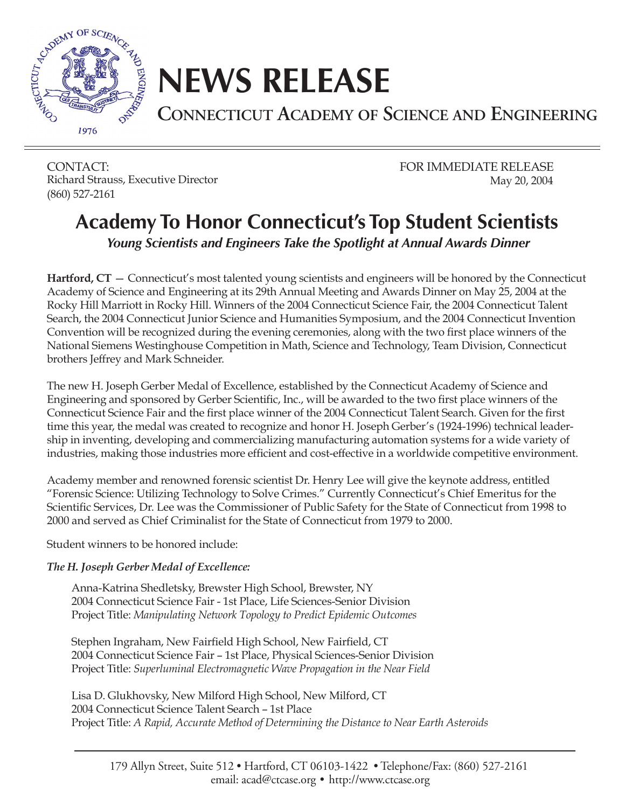

# **NEWS RELEASE**

**CONNECTICUT ACADEMY OF SCIENCE AND ENGINEERING**

CONTACT: FOR IMMEDIATE RELEASE Richard Strauss, Executive Director May 20, 2004 (860) 527-2161

## **Academy To Honor Connecticut's Top Student Scientists**

 *Young Scientists and Engineers Take the Spotlight at Annual Awards Dinner*

**Hartford, CT** – Connecticut's most talented young scientists and engineers will be honored by the Connecticut Academy of Science and Engineering at its 29th Annual Meeting and Awards Dinner on May 25, 2004 at the Rocky Hill Marriott in Rocky Hill. Winners of the 2004 Connecticut Science Fair, the 2004 Connecticut Talent Search, the 2004 Connecticut Junior Science and Humanities Symposium, and the 2004 Connecticut Invention Convention will be recognized during the evening ceremonies, along with the two first place winners of the National Siemens Westinghouse Competition in Math, Science and Technology, Team Division, Connecticut brothers Jeffrey and Mark Schneider.

The new H. Joseph Gerber Medal of Excellence, established by the Connecticut Academy of Science and Engineering and sponsored by Gerber Scientific, Inc., will be awarded to the two first place winners of the Connecticut Science Fair and the first place winner of the 2004 Connecticut Talent Search. Given for the first time this year, the medal was created to recognize and honor H. Joseph Gerber's (1924-1996) technical leadership in inventing, developing and commercializing manufacturing automation systems for a wide variety of industries, making those industries more efficient and cost-effective in a worldwide competitive environment.

Academy member and renowned forensic scientist Dr. Henry Lee will give the keynote address, entitled "Forensic Science: Utilizing Technology to Solve Crimes." Currently Connecticut's Chief Emeritus for the Scientific Services, Dr. Lee was the Commissioner of Public Safety for the State of Connecticut from 1998 to 2000 and served as Chief Criminalist for the State of Connecticut from 1979 to 2000.

Student winners to be honored include:

#### *The H. Joseph Gerber Medal of Excellence:*

Anna-Katrina Shedletsky, Brewster High School, Brewster, NY 2004 Connecticut Science Fair - 1st Place, Life Sciences-Senior Division Project Title: *Manipulating Network Topology to Predict Epidemic Outcomes*

Stephen Ingraham, New Fairfield High School, New Fairfield, CT 2004 Connecticut Science Fair – 1st Place, Physical Sciences-Senior Division Project Title: *Superluminal Electromagnetic Wave Propagation in the Near Field*

Lisa D. Glukhovsky, New Milford High School, New Milford, CT 2004 Connecticut Science Talent Search – 1st Place Project Title: *A Rapid, Accurate Method of Determining the Distance to Near Earth Asteroids*